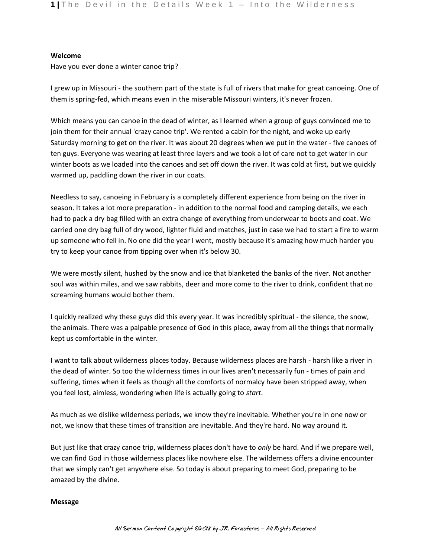## **Welcome**

Have you ever done a winter canoe trip?

I grew up in Missouri - the southern part of the state is full of rivers that make for great canoeing. One of them is spring-fed, which means even in the miserable Missouri winters, it's never frozen.

Which means you can canoe in the dead of winter, as I learned when a group of guys convinced me to join them for their annual 'crazy canoe trip'. We rented a cabin for the night, and woke up early Saturday morning to get on the river. It was about 20 degrees when we put in the water - five canoes of ten guys. Everyone was wearing at least three layers and we took a lot of care not to get water in our winter boots as we loaded into the canoes and set off down the river. It was cold at first, but we quickly warmed up, paddling down the river in our coats.

Needless to say, canoeing in February is a completely different experience from being on the river in season. It takes a lot more preparation - in addition to the normal food and camping details, we each had to pack a dry bag filled with an extra change of everything from underwear to boots and coat. We carried one dry bag full of dry wood, lighter fluid and matches, just in case we had to start a fire to warm up someone who fell in. No one did the year I went, mostly because it's amazing how much harder you try to keep your canoe from tipping over when it's below 30.

We were mostly silent, hushed by the snow and ice that blanketed the banks of the river. Not another soul was within miles, and we saw rabbits, deer and more come to the river to drink, confident that no screaming humans would bother them.

I quickly realized why these guys did this every year. It was incredibly spiritual - the silence, the snow, the animals. There was a palpable presence of God in this place, away from all the things that normally kept us comfortable in the winter.

I want to talk about wilderness places today. Because wilderness places are harsh - harsh like a river in the dead of winter. So too the wilderness times in our lives aren't necessarily fun - times of pain and suffering, times when it feels as though all the comforts of normalcy have been stripped away, when you feel lost, aimless, wondering when life is actually going to *start*.

As much as we dislike wilderness periods, we know they're inevitable. Whether you're in one now or not, we know that these times of transition are inevitable. And they're hard. No way around it.

But just like that crazy canoe trip, wilderness places don't have to *only* be hard. And if we prepare well, we can find God in those wilderness places like nowhere else. The wilderness offers a divine encounter that we simply can't get anywhere else. So today is about preparing to meet God, preparing to be amazed by the divine.

## **Message**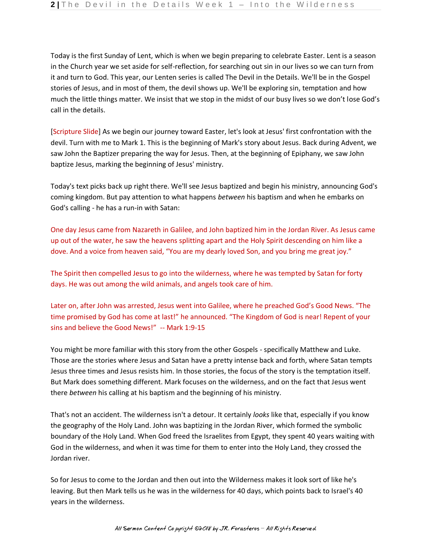Today is the first Sunday of Lent, which is when we begin preparing to celebrate Easter. Lent is a season in the Church year we set aside for self-reflection, for searching out sin in our lives so we can turn from it and turn to God. This year, our Lenten series is called The Devil in the Details. We'll be in the Gospel stories of Jesus, and in most of them, the devil shows up. We'll be exploring sin, temptation and how much the little things matter. We insist that we stop in the midst of our busy lives so we don't lose God's call in the details.

[Scripture Slide] As we begin our journey toward Easter, let's look at Jesus' first confrontation with the devil. Turn with me to Mark 1. This is the beginning of Mark's story about Jesus. Back during Advent, we saw John the Baptizer preparing the way for Jesus. Then, at the beginning of Epiphany, we saw John baptize Jesus, marking the beginning of Jesus' ministry.

Today's text picks back up right there. We'll see Jesus baptized and begin his ministry, announcing God's coming kingdom. But pay attention to what happens *between* his baptism and when he embarks on God's calling - he has a run-in with Satan:

One day Jesus came from Nazareth in Galilee, and John baptized him in the Jordan River. As Jesus came up out of the water, he saw the heavens splitting apart and the Holy Spirit descending on him like a dove. And a voice from heaven said, "You are my dearly loved Son, and you bring me great joy."

The Spirit then compelled Jesus to go into the wilderness, where he was tempted by Satan for forty days. He was out among the wild animals, and angels took care of him.

Later on, after John was arrested, Jesus went into Galilee, where he preached God's Good News. "The time promised by God has come at last!" he announced. "The Kingdom of God is near! Repent of your sins and believe the Good News!" -- Mark 1:9-15

You might be more familiar with this story from the other Gospels - specifically Matthew and Luke. Those are the stories where Jesus and Satan have a pretty intense back and forth, where Satan tempts Jesus three times and Jesus resists him. In those stories, the focus of the story is the temptation itself. But Mark does something different. Mark focuses on the wilderness, and on the fact that Jesus went there *between* his calling at his baptism and the beginning of his ministry.

That's not an accident. The wilderness isn't a detour. It certainly *looks* like that, especially if you know the geography of the Holy Land. John was baptizing in the Jordan River, which formed the symbolic boundary of the Holy Land. When God freed the Israelites from Egypt, they spent 40 years waiting with God in the wilderness, and when it was time for them to enter into the Holy Land, they crossed the Jordan river.

So for Jesus to come to the Jordan and then out into the Wilderness makes it look sort of like he's leaving. But then Mark tells us he was in the wilderness for 40 days, which points back to Israel's 40 years in the wilderness.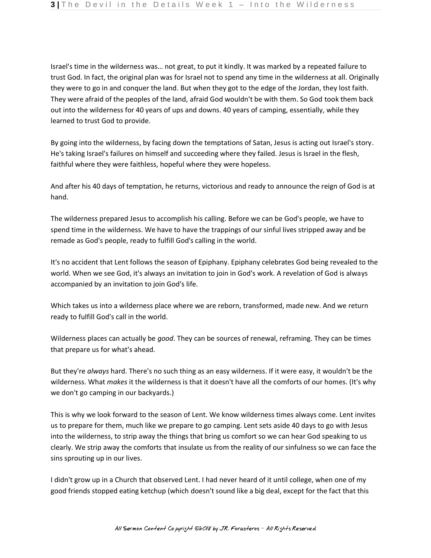Israel's time in the wilderness was… not great, to put it kindly. It was marked by a repeated failure to trust God. In fact, the original plan was for Israel not to spend any time in the wilderness at all. Originally they were to go in and conquer the land. But when they got to the edge of the Jordan, they lost faith. They were afraid of the peoples of the land, afraid God wouldn't be with them. So God took them back out into the wilderness for 40 years of ups and downs. 40 years of camping, essentially, while they learned to trust God to provide.

By going into the wilderness, by facing down the temptations of Satan, Jesus is acting out Israel's story. He's taking Israel's failures on himself and succeeding where they failed. Jesus is Israel in the flesh, faithful where they were faithless, hopeful where they were hopeless.

And after his 40 days of temptation, he returns, victorious and ready to announce the reign of God is at hand.

The wilderness prepared Jesus to accomplish his calling. Before we can be God's people, we have to spend time in the wilderness. We have to have the trappings of our sinful lives stripped away and be remade as God's people, ready to fulfill God's calling in the world.

It's no accident that Lent follows the season of Epiphany. Epiphany celebrates God being revealed to the world. When we see God, it's always an invitation to join in God's work. A revelation of God is always accompanied by an invitation to join God's life.

Which takes us into a wilderness place where we are reborn, transformed, made new. And we return ready to fulfill God's call in the world.

Wilderness places can actually be *good*. They can be sources of renewal, reframing. They can be times that prepare us for what's ahead.

But they're *always* hard. There's no such thing as an easy wilderness. If it were easy, it wouldn't be the wilderness. What *makes* it the wilderness is that it doesn't have all the comforts of our homes. (It's why we don't go camping in our backyards.)

This is why we look forward to the season of Lent. We know wilderness times always come. Lent invites us to prepare for them, much like we prepare to go camping. Lent sets aside 40 days to go with Jesus into the wilderness, to strip away the things that bring us comfort so we can hear God speaking to us clearly. We strip away the comforts that insulate us from the reality of our sinfulness so we can face the sins sprouting up in our lives.

I didn't grow up in a Church that observed Lent. I had never heard of it until college, when one of my good friends stopped eating ketchup (which doesn't sound like a big deal, except for the fact that this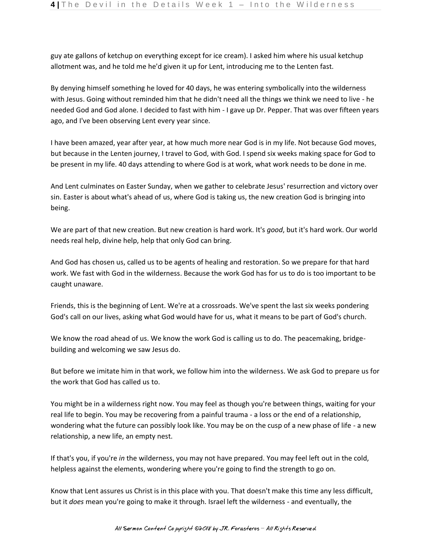guy ate gallons of ketchup on everything except for ice cream). I asked him where his usual ketchup allotment was, and he told me he'd given it up for Lent, introducing me to the Lenten fast.

By denying himself something he loved for 40 days, he was entering symbolically into the wilderness with Jesus. Going without reminded him that he didn't need all the things we think we need to live - he needed God and God alone. I decided to fast with him - I gave up Dr. Pepper. That was over fifteen years ago, and I've been observing Lent every year since.

I have been amazed, year after year, at how much more near God is in my life. Not because God moves, but because in the Lenten journey, I travel to God, with God. I spend six weeks making space for God to be present in my life. 40 days attending to where God is at work, what work needs to be done in me.

And Lent culminates on Easter Sunday, when we gather to celebrate Jesus' resurrection and victory over sin. Easter is about what's ahead of us, where God is taking us, the new creation God is bringing into being.

We are part of that new creation. But new creation is hard work. It's *good*, but it's hard work. Our world needs real help, divine help, help that only God can bring.

And God has chosen us, called us to be agents of healing and restoration. So we prepare for that hard work. We fast with God in the wilderness. Because the work God has for us to do is too important to be caught unaware.

Friends, this is the beginning of Lent. We're at a crossroads. We've spent the last six weeks pondering God's call on our lives, asking what God would have for us, what it means to be part of God's church.

We know the road ahead of us. We know the work God is calling us to do. The peacemaking, bridgebuilding and welcoming we saw Jesus do.

But before we imitate him in that work, we follow him into the wilderness. We ask God to prepare us for the work that God has called us to.

You might be in a wilderness right now. You may feel as though you're between things, waiting for your real life to begin. You may be recovering from a painful trauma - a loss or the end of a relationship, wondering what the future can possibly look like. You may be on the cusp of a new phase of life - a new relationship, a new life, an empty nest.

If that's you, if you're *in* the wilderness, you may not have prepared. You may feel left out in the cold, helpless against the elements, wondering where you're going to find the strength to go on.

Know that Lent assures us Christ is in this place with you. That doesn't make this time any less difficult, but it *does* mean you're going to make it through. Israel left the wilderness - and eventually, the